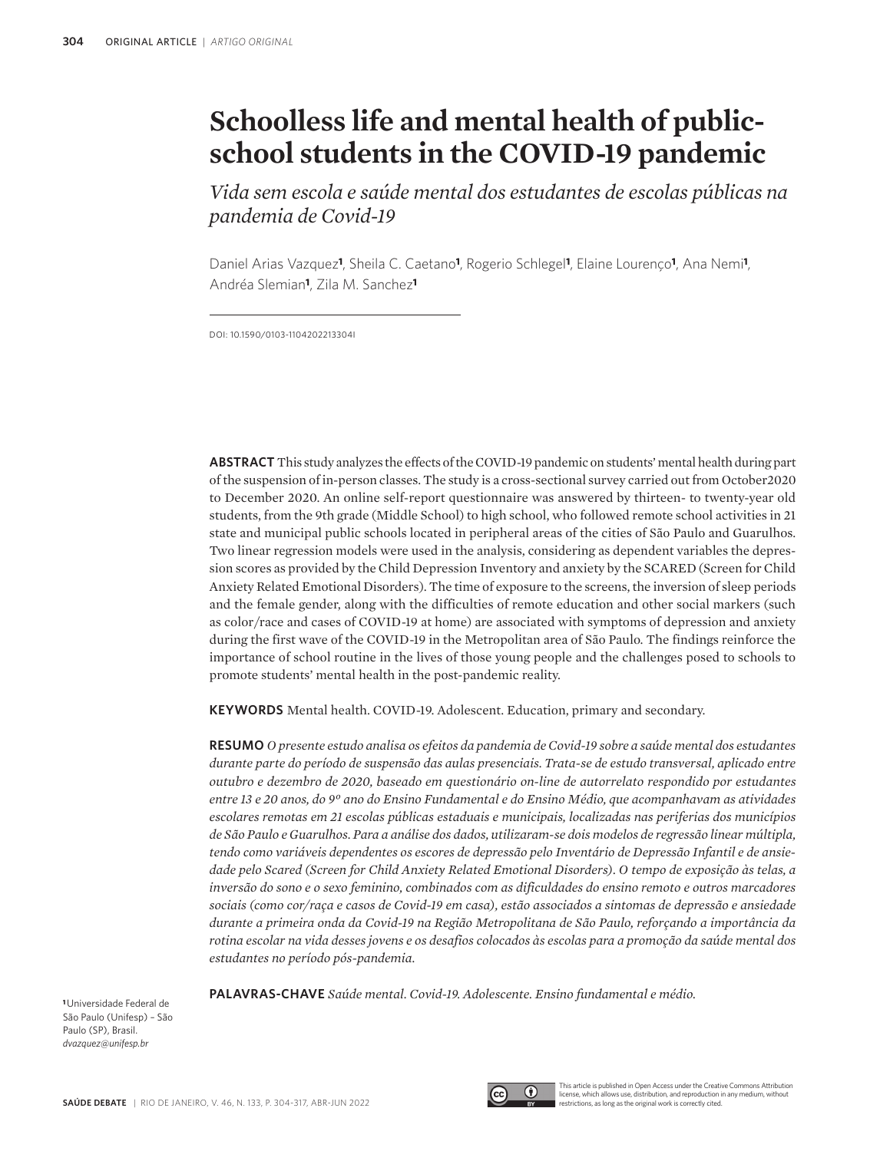# **Schoolless life and mental health of publicschool students in the COVID-19 pandemic**

*Vida sem escola e saúde mental dos estudantes de escolas públicas na pandemia de Covid-19*

Daniel Arias Vazquez**1**, Sheila C. Caetano**1**, Rogerio Schlegel**1**, Elaine Lourenço**1**, Ana Nemi**1**, Andréa Slemian**1**, Zila M. Sanchez**<sup>1</sup>**

DOI: 10.1590/0103-1104202213304i

**ABSTRACT** This study analyzes the effects of the COVID-19 pandemic on students' mental health during part of the suspension of in-person classes. The study is a cross-sectional survey carried out from October2020 to December 2020. An online self-report questionnaire was answered by thirteen- to twenty-year old students, from the 9th grade (Middle School) to high school, who followed remote school activities in 21 state and municipal public schools located in peripheral areas of the cities of São Paulo and Guarulhos. Two linear regression models were used in the analysis, considering as dependent variables the depression scores as provided by the Child Depression Inventory and anxiety by the SCARED (Screen for Child Anxiety Related Emotional Disorders). The time of exposure to the screens, the inversion of sleep periods and the female gender, along with the difficulties of remote education and other social markers (such as color/race and cases of COVID-19 at home) are associated with symptoms of depression and anxiety during the first wave of the COVID-19 in the Metropolitan area of São Paulo. The findings reinforce the importance of school routine in the lives of those young people and the challenges posed to schools to promote students' mental health in the post-pandemic reality.

**KEYWORDS** Mental health. COVID-19. Adolescent. Education, primary and secondary.

**RESUMO** *O presente estudo analisa os efeitos da pandemia de Covid-19 sobre a saúde mental dos estudantes durante parte do período de suspensão das aulas presenciais. Trata-se de estudo transversal, aplicado entre outubro e dezembro de 2020, baseado em questionário on-line de autorrelato respondido por estudantes entre 13 e 20 anos, do 9º ano do Ensino Fundamental e do Ensino Médio, que acompanhavam as atividades escolares remotas em 21 escolas públicas estaduais e municipais, localizadas nas periferias dos municípios de São Paulo e Guarulhos. Para a análise dos dados, utilizaram-se dois modelos de regressão linear múltipla, tendo como variáveis dependentes os escores de depressão pelo Inventário de Depressão Infantil e de ansiedade pelo Scared (Screen for Child Anxiety Related Emotional Disorders). O tempo de exposição às telas, a inversão do sono e o sexo feminino, combinados com as dificuldades do ensino remoto e outros marcadores sociais (como cor/raça e casos de Covid-19 em casa), estão associados a sintomas de depressão e ansiedade durante a primeira onda da Covid-19 na Região Metropolitana de São Paulo, reforçando a importância da rotina escolar na vida desses jovens e os desafios colocados às escolas para a promoção da saúde mental dos estudantes no período pós-pandemia.*

**PALAVRAS-CHAVE** *Saúde mental. Covid-19. Adolescente. Ensino fundamental e médio.*

**<sup>1</sup>**Universidade Federal de São Paulo (Unifesp) – São Paulo (SP), Brasil. *dvazquez@unifesp.br*



This article is published in Open Access under the Creative Commons Attributio license, which allows use, distribution, and reproduction in any medium, without restrictions, as long as the original work is correctly cited.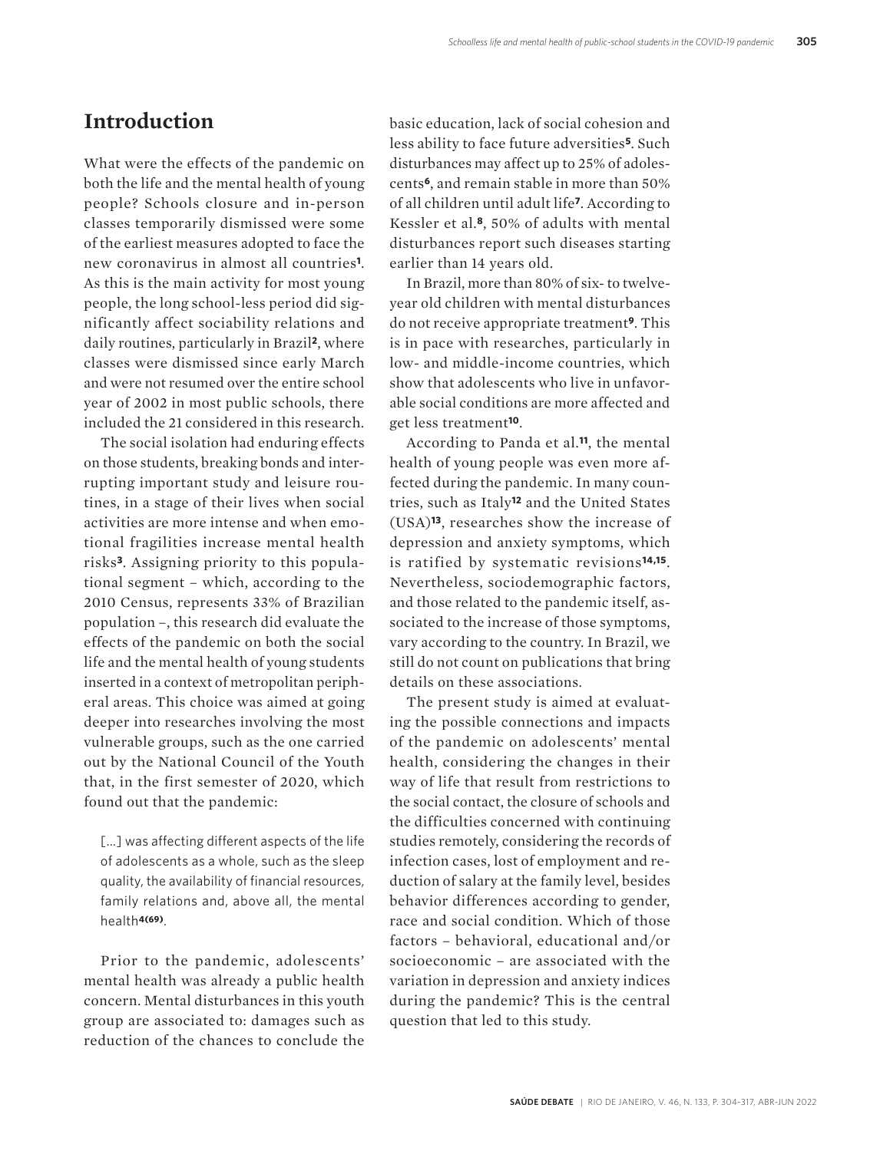### **Introduction**

What were the effects of the pandemic on both the life and the mental health of young people? Schools closure and in-person classes temporarily dismissed were some of the earliest measures adopted to face the new coronavirus in almost all countries**1**. As this is the main activity for most young people, the long school-less period did significantly affect sociability relations and daily routines, particularly in Brazil**2**, where classes were dismissed since early March and were not resumed over the entire school year of 2002 in most public schools, there included the 21 considered in this research.

The social isolation had enduring effects on those students, breaking bonds and interrupting important study and leisure routines, in a stage of their lives when social activities are more intense and when emotional fragilities increase mental health risks**3**. Assigning priority to this populational segment – which, according to the 2010 Census, represents 33% of Brazilian population –, this research did evaluate the effects of the pandemic on both the social life and the mental health of young students inserted in a context of metropolitan peripheral areas. This choice was aimed at going deeper into researches involving the most vulnerable groups, such as the one carried out by the National Council of the Youth that, in the first semester of 2020, which found out that the pandemic:

[…] was affecting different aspects of the life of adolescents as a whole, such as the sleep quality, the availability of financial resources, family relations and, above all, the mental health**4(69)**.

Prior to the pandemic, adolescents' mental health was already a public health concern. Mental disturbances in this youth group are associated to: damages such as reduction of the chances to conclude the

basic education, lack of social cohesion and less ability to face future adversities**5**. Such disturbances may affect up to 25% of adolescents**6**, and remain stable in more than 50% of all children until adult life**7**. According to Kessler et al.**8**, 50% of adults with mental disturbances report such diseases starting earlier than 14 years old.

In Brazil, more than 80% of six- to twelveyear old children with mental disturbances do not receive appropriate treatment**9**. This is in pace with researches, particularly in low- and middle-income countries, which show that adolescents who live in unfavorable social conditions are more affected and get less treatment**10**.

According to Panda et al*.***11**, the mental health of young people was even more affected during the pandemic. In many countries, such as Italy**12** and the United States (USA)**13**, researches show the increase of depression and anxiety symptoms, which is ratified by systematic revisions**14,15**. Nevertheless, sociodemographic factors, and those related to the pandemic itself, associated to the increase of those symptoms, vary according to the country. In Brazil, we still do not count on publications that bring details on these associations.

The present study is aimed at evaluating the possible connections and impacts of the pandemic on adolescents' mental health, considering the changes in their way of life that result from restrictions to the social contact, the closure of schools and the difficulties concerned with continuing studies remotely, considering the records of infection cases, lost of employment and reduction of salary at the family level, besides behavior differences according to gender, race and social condition. Which of those factors – behavioral, educational and/or socioeconomic – are associated with the variation in depression and anxiety indices during the pandemic? This is the central question that led to this study.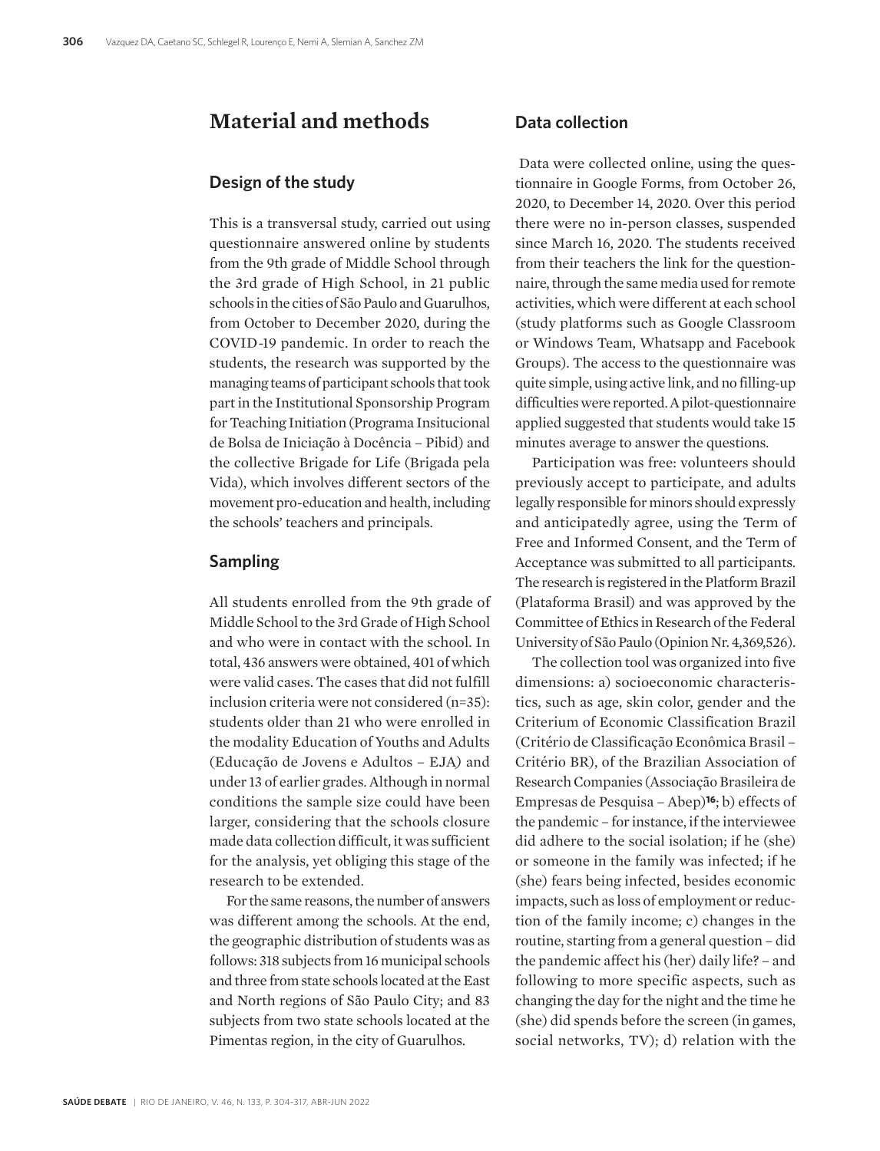# **Material and methods**

#### **Design of the study**

This is a transversal study, carried out using questionnaire answered online by students from the 9th grade of Middle School through the 3rd grade of High School, in 21 public schools in the cities of São Paulo and Guarulhos, from October to December 2020, during the COVID-19 pandemic. In order to reach the students, the research was supported by the managing teams of participant schools that took part in the Institutional Sponsorship Program for Teaching Initiation (Programa Insitucional de Bolsa de Iniciação à Docência – Pibid) and the collective Brigade for Life (Brigada pela Vida), which involves different sectors of the movement pro-education and health, including the schools' teachers and principals.

#### **Sampling**

All students enrolled from the 9th grade of Middle School to the 3rd Grade of High School and who were in contact with the school. In total, 436 answers were obtained, 401 of which were valid cases. The cases that did not fulfill inclusion criteria were not considered (n=35): students older than 21 who were enrolled in the modality Education of Youths and Adults (Educação de Jovens e Adultos – EJA*)* and under 13 of earlier grades. Although in normal conditions the sample size could have been larger, considering that the schools closure made data collection difficult, it was sufficient for the analysis, yet obliging this stage of the research to be extended.

For the same reasons, the number of answers was different among the schools. At the end, the geographic distribution of students was as follows: 318 subjects from 16 municipal schools and three from state schools located at the East and North regions of São Paulo City; and 83 subjects from two state schools located at the Pimentas region, in the city of Guarulhos.

#### **Data collection**

 Data were collected online, using the questionnaire in Google Forms, from October 26, 2020, to December 14, 2020. Over this period there were no in-person classes, suspended since March 16, 2020. The students received from their teachers the link for the questionnaire, through the same media used for remote activities, which were different at each school (study platforms such as Google Classroom or Windows Team, Whatsapp and Facebook Groups). The access to the questionnaire was quite simple, using active link, and no filling-up difficulties were reported. A pilot-questionnaire applied suggested that students would take 15 minutes average to answer the questions.

Participation was free: volunteers should previously accept to participate, and adults legally responsible for minors should expressly and anticipatedly agree, using the Term of Free and Informed Consent, and the Term of Acceptance was submitted to all participants. The research is registered in the Platform Brazil (Plataforma Brasil) and was approved by the Committee of Ethics in Research of the Federal University of São Paulo (Opinion Nr. 4,369,526).

The collection tool was organized into five dimensions: a) socioeconomic characteristics, such as age, skin color, gender and the Criterium of Economic Classification Brazil (Critério de Classificação Econômica Brasil – Critério BR), of the Brazilian Association of Research Companies (Associação Brasileira de Empresas de Pesquisa – Abep)**16**; b) effects of the pandemic – for instance, if the interviewee did adhere to the social isolation; if he (she) or someone in the family was infected; if he (she) fears being infected, besides economic impacts, such as loss of employment or reduction of the family income; c) changes in the routine, starting from a general question – did the pandemic affect his (her) daily life? – and following to more specific aspects, such as changing the day for the night and the time he (she) did spends before the screen (in games, social networks, TV); d) relation with the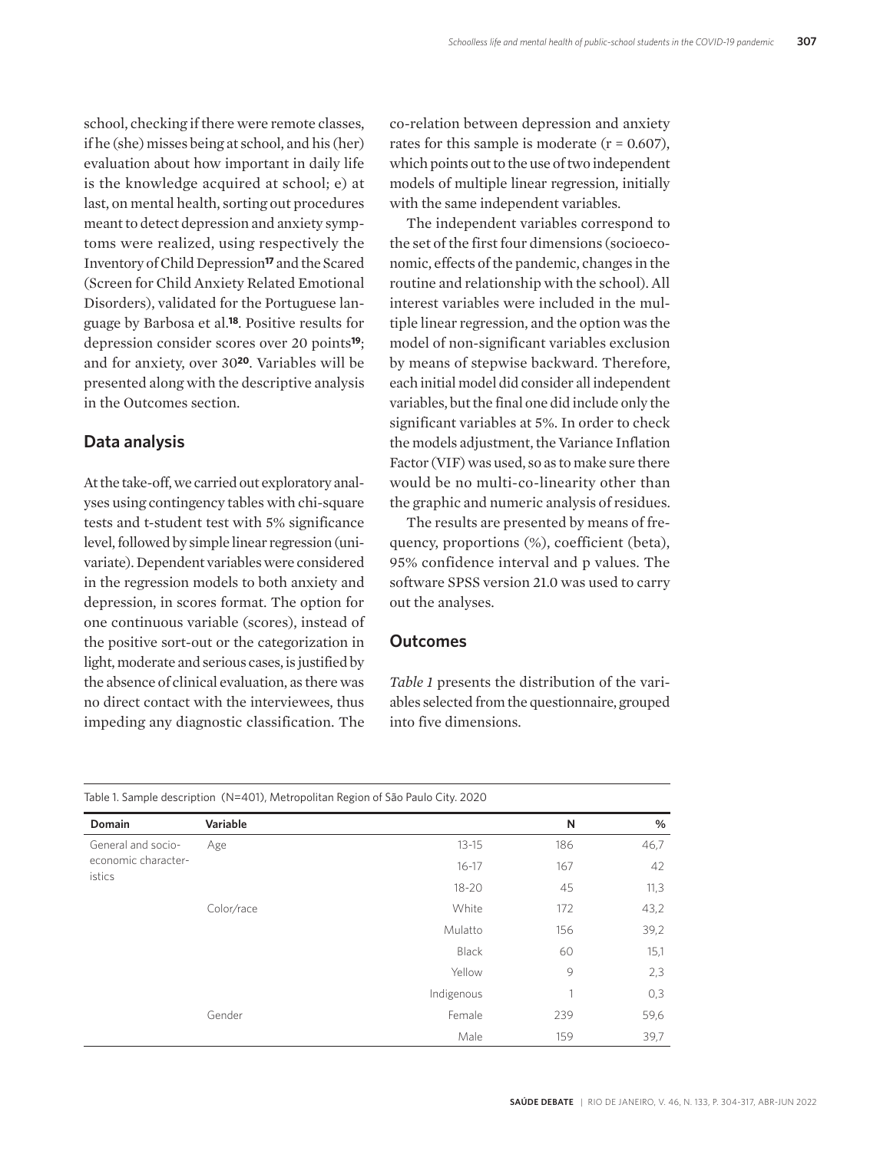school, checking if there were remote classes, if he (she) misses being at school, and his (her) evaluation about how important in daily life is the knowledge acquired at school; e) at last, on mental health, sorting out procedures meant to detect depression and anxiety symptoms were realized, using respectively the Inventory of Child Depression**17** and the Scared (Screen for Child Anxiety Related Emotional Disorders), validated for the Portuguese language by Barbosa et al.**18***.* Positive results for depression consider scores over 20 points**19**; and for anxiety, over 30**20**. Variables will be presented along with the descriptive analysis in the Outcomes section.

#### **Data analysis**

At the take-off, we carried out exploratory analyses using contingency tables with chi-square tests and t-student test with 5% significance level, followed by simple linear regression (univariate). Dependent variables were considered in the regression models to both anxiety and depression, in scores format. The option for one continuous variable (scores), instead of the positive sort-out or the categorization in light, moderate and serious cases, is justified by the absence of clinical evaluation, as there was no direct contact with the interviewees, thus impeding any diagnostic classification. The

co-relation between depression and anxiety rates for this sample is moderate  $(r = 0.607)$ , which points out to the use of two independent models of multiple linear regression, initially with the same independent variables.

The independent variables correspond to the set of the first four dimensions (socioeconomic, effects of the pandemic, changes in the routine and relationship with the school). All interest variables were included in the multiple linear regression, and the option was the model of non-significant variables exclusion by means of stepwise backward. Therefore, each initial model did consider all independent variables, but the final one did include only the significant variables at 5%. In order to check the models adjustment, the Variance Inflation Factor (VIF) was used, so as to make sure there would be no multi-co-linearity other than the graphic and numeric analysis of residues.

The results are presented by means of frequency, proportions (%), coefficient (beta), 95% confidence interval and p values. The software SPSS version 21.0 was used to carry out the analyses.

#### **Outcomes**

*Table 1* presents the distribution of the variables selected from the questionnaire, grouped into five dimensions.

| Domain              | Variable                                                                                         |           | N    | %    |
|---------------------|--------------------------------------------------------------------------------------------------|-----------|------|------|
| General and socio-  | Age                                                                                              | $13 - 15$ | 186  | 46,7 |
| economic character- |                                                                                                  | $16 - 17$ | 167  | 42   |
| istics              | $18 - 20$<br>Color/race<br>White<br>Mulatto<br>Black<br>Yellow<br>Indigenous<br>Gender<br>Female | 45        | 11,3 |      |
|                     |                                                                                                  |           | 172  | 43,2 |
|                     |                                                                                                  |           | 156  | 39,2 |
|                     |                                                                                                  |           | 60   | 15,1 |
|                     |                                                                                                  |           | 9    | 2,3  |
|                     |                                                                                                  |           |      | 0,3  |
|                     |                                                                                                  |           | 239  | 59,6 |
|                     |                                                                                                  | Male      | 159  | 39,7 |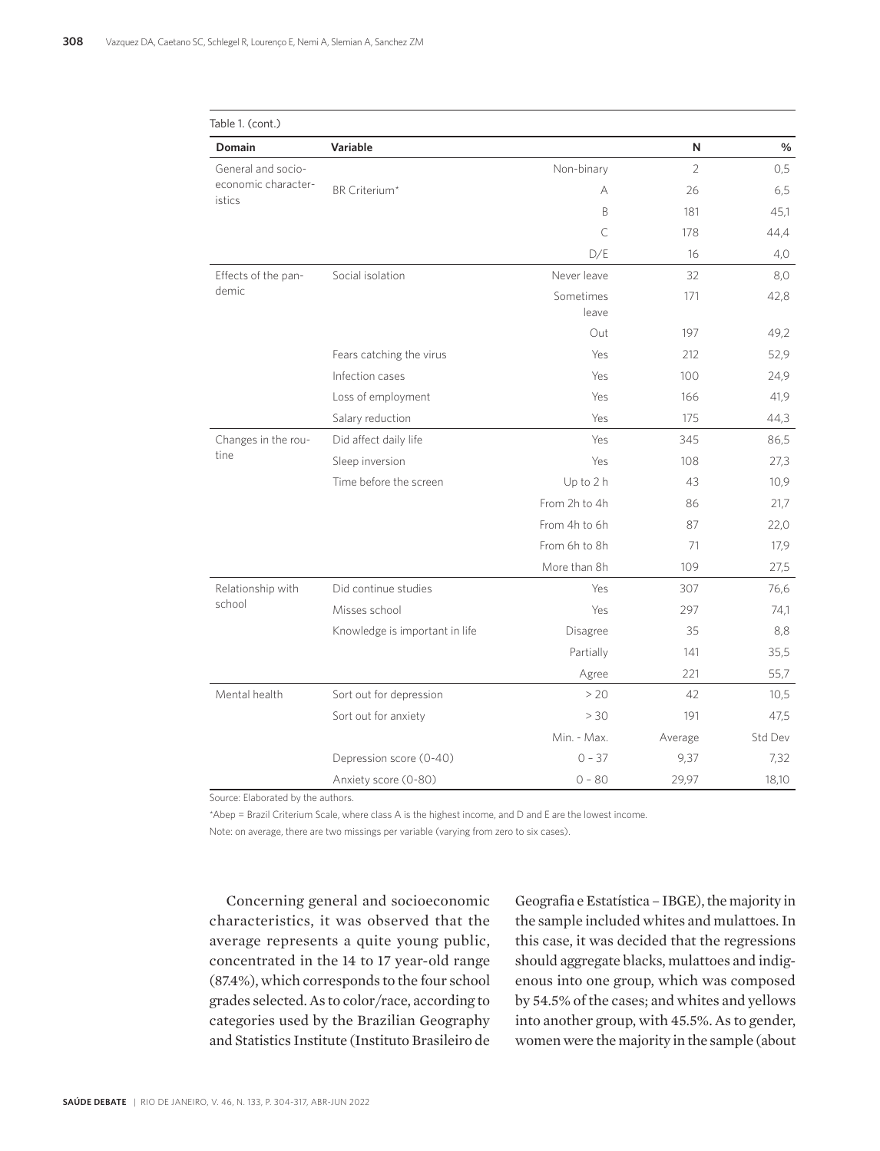| Table 1. (cont.)                          |                                |                    |                |         |
|-------------------------------------------|--------------------------------|--------------------|----------------|---------|
| Domain                                    | Variable                       |                    | Ν              | $\%$    |
| General and socio-<br>economic character- |                                | Non-binary         | $\overline{2}$ | 0,5     |
| istics                                    | BR Criterium*                  | A                  | 26             | 6,5     |
|                                           |                                | B                  | 181            | 45,1    |
|                                           |                                | C                  | 178            | 44,4    |
|                                           |                                | D/E                | 16             | 4,0     |
| Effects of the pan-                       | Social isolation               | Never leave        | 32             | 8,0     |
| demic                                     |                                | Sometimes<br>leave | 171            | 42,8    |
|                                           |                                | Out                | 197            | 49,2    |
|                                           | Fears catching the virus       | Yes                | 212            | 52,9    |
|                                           | Infection cases                | Yes                | 100            | 24,9    |
|                                           | Loss of employment             | Yes                | 166            | 41,9    |
|                                           | Salary reduction               | <b>Yes</b>         | 175            | 44,3    |
| Changes in the rou-                       | Did affect daily life          | Yes                | 345            | 86,5    |
| tine                                      | Sleep inversion                | Yes                | 108            | 27,3    |
|                                           | Time before the screen         | Up to 2 h          | 43             | 10,9    |
|                                           |                                | From 2h to 4h      | 86             | 21,7    |
|                                           |                                | From 4h to 6h      | 87             | 22,0    |
|                                           |                                | From 6h to 8h      | 71             | 17,9    |
|                                           |                                | More than 8h       | 109            | 27,5    |
| Relationship with                         | Did continue studies           | Yes                | 307            | 76,6    |
| school                                    | Misses school                  | Yes                | 297            | 74,1    |
|                                           | Knowledge is important in life | Disagree           | 35             | 8,8     |
|                                           |                                | Partially          | 141            | 35,5    |
|                                           |                                | Agree              | 221            | 55,7    |
| Mental health                             | Sort out for depression        | > 20               | 42             | 10,5    |
|                                           | Sort out for anxiety           | > 30               | 191            | 47,5    |
|                                           |                                | Min. - Max.        | Average        | Std Dev |
|                                           | Depression score (0-40)        | $0 - 37$           | 9,37           | 7,32    |
|                                           | Anxiety score (0-80)           | $0 - 80$           | 29,97          | 18,10   |

Source: Elaborated by the authors.

\*Abep = Brazil Criterium Scale, where class A is the highest income, and D and E are the lowest income.

Note: on average, there are two missings per variable (varying from zero to six cases).

Concerning general and socioeconomic characteristics, it was observed that the average represents a quite young public, concentrated in the 14 to 17 year-old range (87.4%), which corresponds to the four school grades selected. As to color/race, according to categories used by the Brazilian Geography and Statistics Institute (Instituto Brasileiro de

Geografia e Estatística – IBGE), the majority in the sample included whites and mulattoes. In this case, it was decided that the regressions should aggregate blacks, mulattoes and indigenous into one group, which was composed by 54.5% of the cases; and whites and yellows into another group, with 45.5%. As to gender, women were the majority in the sample (about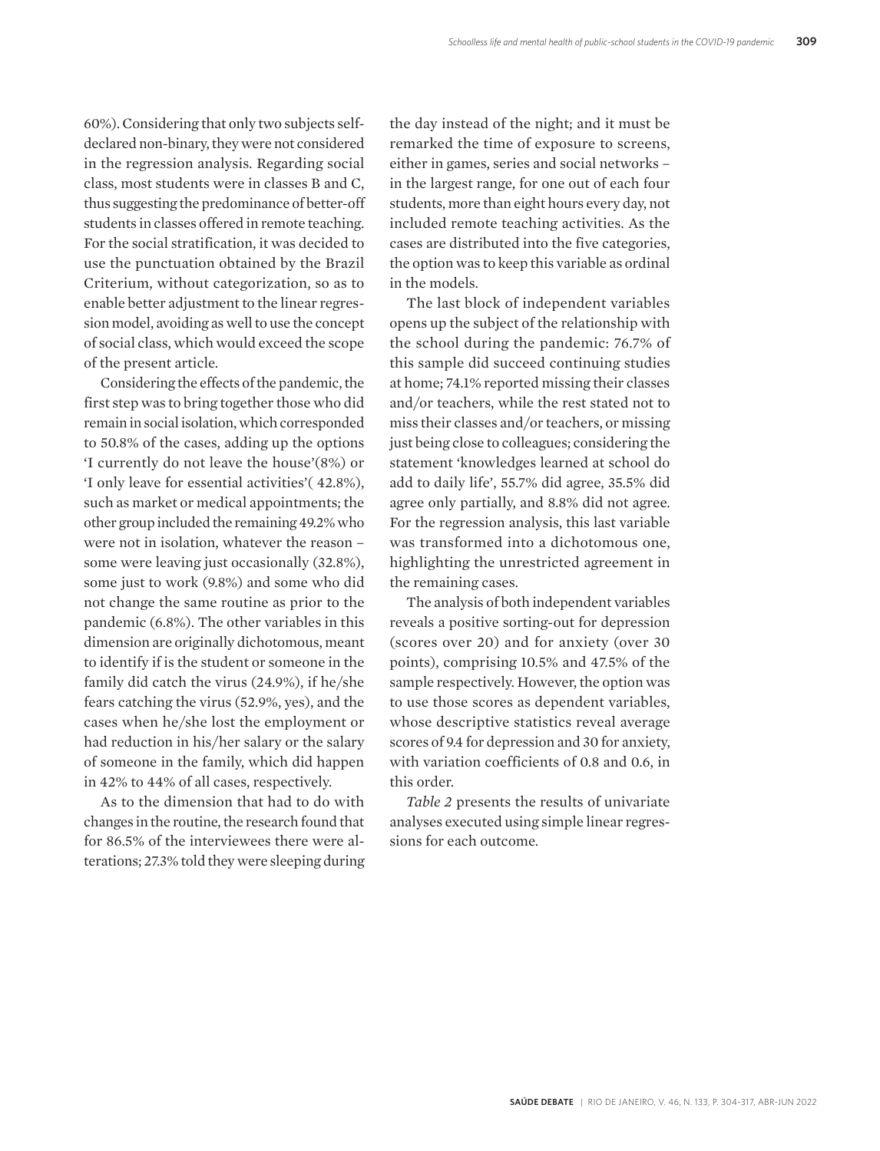60%). Considering that only two subjects selfdeclared non-binary, they were not considered in the regression analysis. Regarding social class, most students were in classes B and C, thus suggesting the predominance of better-off students in classes offered in remote teaching. For the social stratification, it was decided to use the punctuation obtained by the Brazil Criterium, without categorization, so as to enable better adjustment to the linear regression model, avoiding as well to use the concept of social class, which would exceed the scope of the present article.

Considering the effects of the pandemic, the first step was to bring together those who did remain in social isolation, which corresponded to 50.8% of the cases, adding up the options 'I currently do not leave the house'(8%) or 'I only leave for essential activities'( 42.8%), such as market or medical appointments; the other group included the remaining 49.2% who were not in isolation, whatever the reason – some were leaving just occasionally (32.8%), some just to work (9.8%) and some who did not change the same routine as prior to the pandemic (6.8%). The other variables in this dimension are originally dichotomous, meant to identify if is the student or someone in the family did catch the virus (24.9%), if he/she fears catching the virus (52.9%, yes), and the cases when he/she lost the employment or had reduction in his/her salary or the salary of someone in the family, which did happen in 42% to 44% of all cases, respectively.

As to the dimension that had to do with changes in the routine, the research found that for 86.5% of the interviewees there were alterations; 27.3% told they were sleeping during

the day instead of the night; and it must be remarked the time of exposure to screens, either in games, series and social networks – in the largest range, for one out of each four students, more than eight hours every day, not included remote teaching activities. As the cases are distributed into the five categories, the option was to keep this variable as ordinal in the models.

The last block of independent variables opens up the subject of the relationship with the school during the pandemic: 76.7% of this sample did succeed continuing studies at home; 74.1% reported missing their classes and/or teachers, while the rest stated not to miss their classes and/or teachers, or missing just being close to colleagues; considering the statement 'knowledges learned at school do add to daily life', 55.7% did agree, 35.5% did agree only partially, and 8.8% did not agree. For the regression analysis, this last variable was transformed into a dichotomous one, highlighting the unrestricted agreement in the remaining cases.

The analysis of both independent variables reveals a positive sorting-out for depression (scores over 20) and for anxiety (over 30 points), comprising 10.5% and 47.5% of the sample respectively. However, the option was to use those scores as dependent variables, whose descriptive statistics reveal average scores of 9.4 for depression and 30 for anxiety, with variation coefficients of 0.8 and 0.6, in this order.

*Table 2* presents the results of univariate analyses executed using simple linear regressions for each outcome.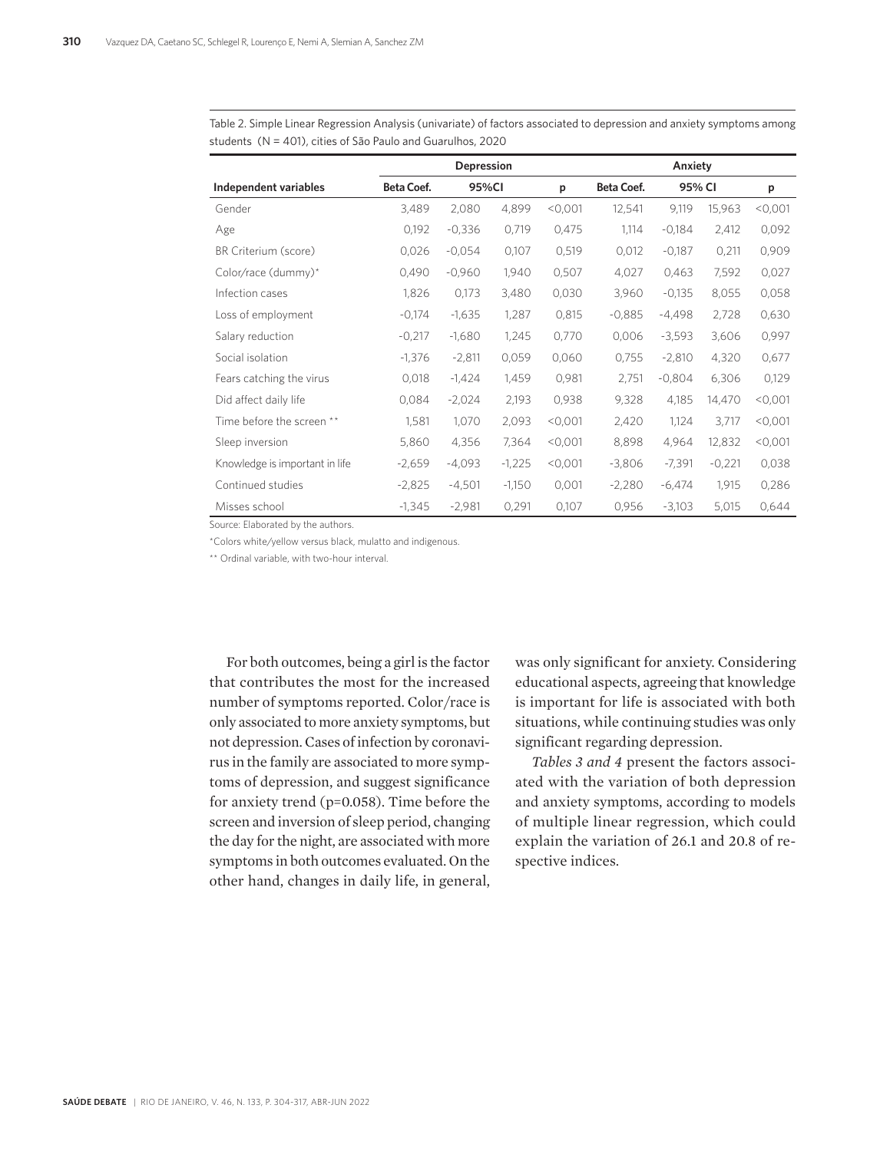|                                |            | Anxiety<br>Depression |          |         |            |          |          |         |
|--------------------------------|------------|-----------------------|----------|---------|------------|----------|----------|---------|
| Independent variables          | Beta Coef. |                       | 95%CI    |         | Beta Coef. | 95% CI   |          | p       |
| Gender                         | 3,489      | 2,080                 | 4,899    | < 0.001 | 12,541     | 9,119    | 15,963   | < 0.001 |
| Age                            | 0,192      | $-0,336$              | 0,719    | 0,475   | 1,114      | $-0,184$ | 2,412    | 0,092   |
| BR Criterium (score)           | 0,026      | $-0.054$              | 0,107    | 0,519   | 0,012      | $-0,187$ | 0,211    | 0,909   |
| Color/race (dummy)*            | 0,490      | $-0.960$              | 1,940    | 0,507   | 4,027      | 0,463    | 7,592    | 0,027   |
| Infection cases                | 1,826      | 0,173                 | 3,480    | 0,030   | 3,960      | $-0,135$ | 8,055    | 0,058   |
| Loss of employment             | $-0,174$   | $-1,635$              | 1,287    | 0,815   | $-0.885$   | $-4,498$ | 2,728    | 0,630   |
| Salary reduction               | $-0,217$   | $-1,680$              | 1,245    | 0,770   | 0,006      | $-3,593$ | 3,606    | 0,997   |
| Social isolation               | $-1,376$   | $-2,811$              | 0,059    | 0,060   | 0,755      | $-2,810$ | 4,320    | 0,677   |
| Fears catching the virus       | 0,018      | $-1,424$              | 1,459    | 0,981   | 2,751      | $-0.804$ | 6,306    | 0,129   |
| Did affect daily life          | 0,084      | $-2,024$              | 2,193    | 0,938   | 9,328      | 4,185    | 14,470   | < 0.001 |
| Time before the screen **      | 1,581      | 1,070                 | 2,093    | < 0.001 | 2,420      | 1,124    | 3,717    | < 0,001 |
| Sleep inversion                | 5,860      | 4,356                 | 7,364    | < 0,001 | 8,898      | 4,964    | 12,832   | < 0,001 |
| Knowledge is important in life | $-2,659$   | $-4,093$              | $-1,225$ | < 0.001 | $-3,806$   | $-7,391$ | $-0,221$ | 0,038   |
| Continued studies              | $-2,825$   | $-4,501$              | $-1,150$ | 0,001   | $-2,280$   | $-6,474$ | 1,915    | 0,286   |
| Misses school                  | $-1,345$   | $-2,981$              | 0,291    | 0,107   | 0,956      | $-3,103$ | 5,015    | 0,644   |

Table 2. Simple Linear Regression Analysis (univariate) of factors associated to depression and anxiety symptoms among students (N = 401), cities of São Paulo and Guarulhos, 2020

Source: Elaborated by the authors.

\*Colors white/yellow versus black, mulatto and indigenous.

\*\* Ordinal variable, with two-hour interval.

For both outcomes, being a girl is the factor that contributes the most for the increased number of symptoms reported. Color/race is only associated to more anxiety symptoms, but not depression. Cases of infection by coronavirus in the family are associated to more symptoms of depression, and suggest significance for anxiety trend (p=0.058). Time before the screen and inversion of sleep period, changing the day for the night, are associated with more symptoms in both outcomes evaluated. On the other hand, changes in daily life, in general,

was only significant for anxiety. Considering educational aspects, agreeing that knowledge is important for life is associated with both situations, while continuing studies was only significant regarding depression.

*Tables 3 and 4* present the factors associated with the variation of both depression and anxiety symptoms, according to models of multiple linear regression, which could explain the variation of 26.1 and 20.8 of respective indices.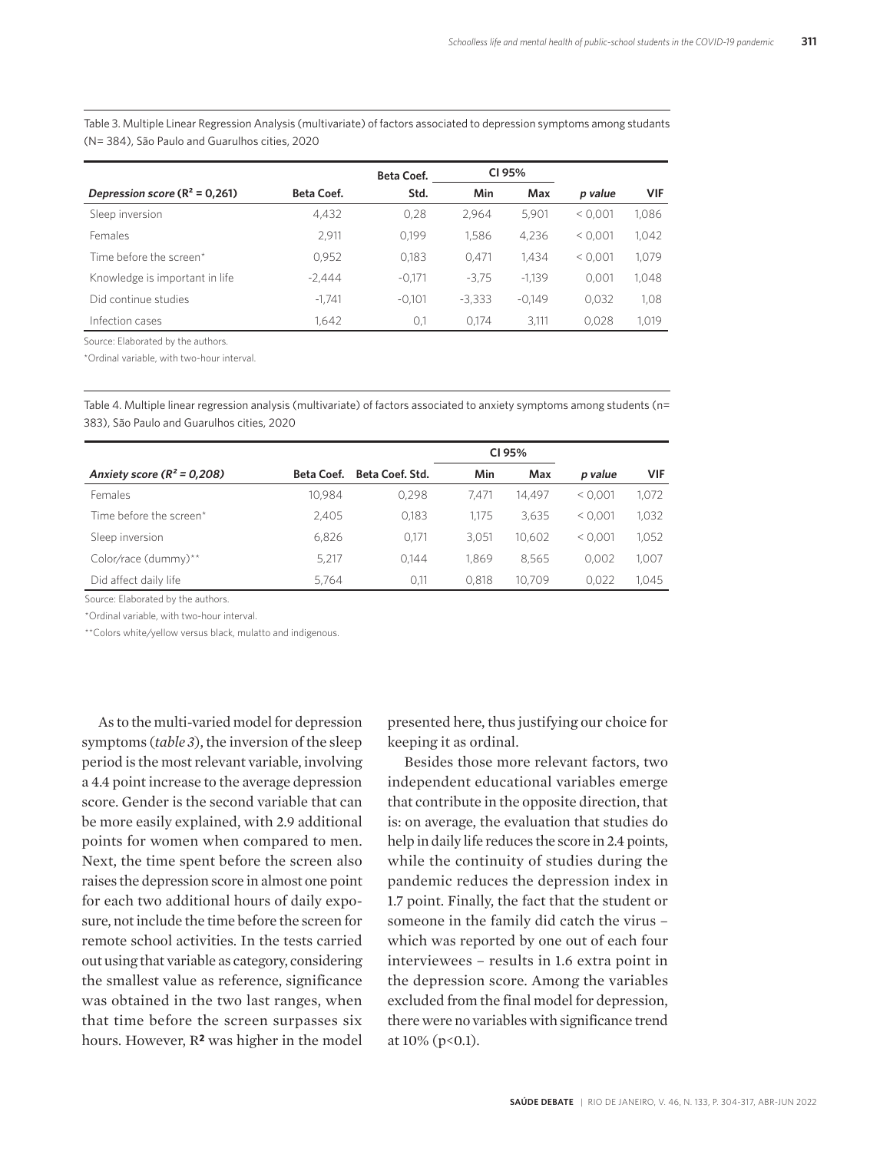Table 3. Multiple Linear Regression Analysis (multivariate) of factors associated to depression symptoms among studants (N= 384), São Paulo and Guarulhos cities, 2020

|                                  |                   | <b>Beta Coef.</b> | CI 95%   |          |         |            |
|----------------------------------|-------------------|-------------------|----------|----------|---------|------------|
| Depression score $(R^2 = 0.261)$ | <b>Beta Coef.</b> | Std.              | Min      | Max      | p value | <b>VIF</b> |
| Sleep inversion                  | 4.432             | 0.28              | 2.964    | 5.901    | < 0.001 | 1.086      |
| Females                          | 2.911             | 0.199             | 1.586    | 4.236    | < 0.001 | 1.042      |
| Time before the screen*          | 0.952             | 0.183             | 0.471    | 1.434    | < 0.001 | 1.079      |
| Knowledge is important in life   | $-2.444$          | $-0.171$          | $-3.75$  | $-1.139$ | 0.001   | 1.048      |
| Did continue studies             | $-1.741$          | $-0.101$          | $-3.333$ | $-0.149$ | 0.032   | 1.08       |
| Infection cases                  | 1.642             | 0,1               | 0.174    | 3.111    | 0.028   | 1.019      |

Source: Elaborated by the authors.

\*Ordinal variable, with two-hour interval.

Table 4. Multiple linear regression analysis (multivariate) of factors associated to anxiety symptoms among students (n= 383), São Paulo and Guarulhos cities, 2020

|                                |            |                 | CI 95% |        |         |            |
|--------------------------------|------------|-----------------|--------|--------|---------|------------|
| Anxiety score ( $R^2$ = 0,208) | Beta Coef. | Beta Coef. Std. | Min    | Max    | p value | <b>VIF</b> |
| Females                        | 10.984     | 0.298           | 7.471  | 14.497 | < 0.001 | 1,072      |
| Time before the screen*        | 2.405      | 0,183           | 1.175  | 3,635  | < 0.001 | 1,032      |
| Sleep inversion                | 6.826      | 0.171           | 3.051  | 10.602 | < 0.001 | 1,052      |
| Color/race (dummy)**           | 5.217      | 0.144           | 1.869  | 8.565  | 0.002   | 1.007      |
| Did affect daily life          | 5.764      | 0,11            | 0.818  | 10.709 | 0.022   | 1.045      |

Source: Elaborated by the authors.

\*Ordinal variable, with two-hour interval.

\*\*Colors white/yellow versus black, mulatto and indigenous.

As to the multi-varied model for depression symptoms (*table 3*), the inversion of the sleep period is the most relevant variable, involving a 4.4 point increase to the average depression score. Gender is the second variable that can be more easily explained, with 2.9 additional points for women when compared to men. Next, the time spent before the screen also raises the depression score in almost one point for each two additional hours of daily exposure, not include the time before the screen for remote school activities. In the tests carried out using that variable as category, considering the smallest value as reference, significance was obtained in the two last ranges, when that time before the screen surpasses six hours. However, R**2** was higher in the model presented here, thus justifying our choice for keeping it as ordinal.

Besides those more relevant factors, two independent educational variables emerge that contribute in the opposite direction, that is: on average, the evaluation that studies do help in daily life reduces the score in 2.4 points, while the continuity of studies during the pandemic reduces the depression index in 1.7 point. Finally, the fact that the student or someone in the family did catch the virus – which was reported by one out of each four interviewees – results in 1.6 extra point in the depression score. Among the variables excluded from the final model for depression, there were no variables with significance trend at  $10\%$  (p<0.1).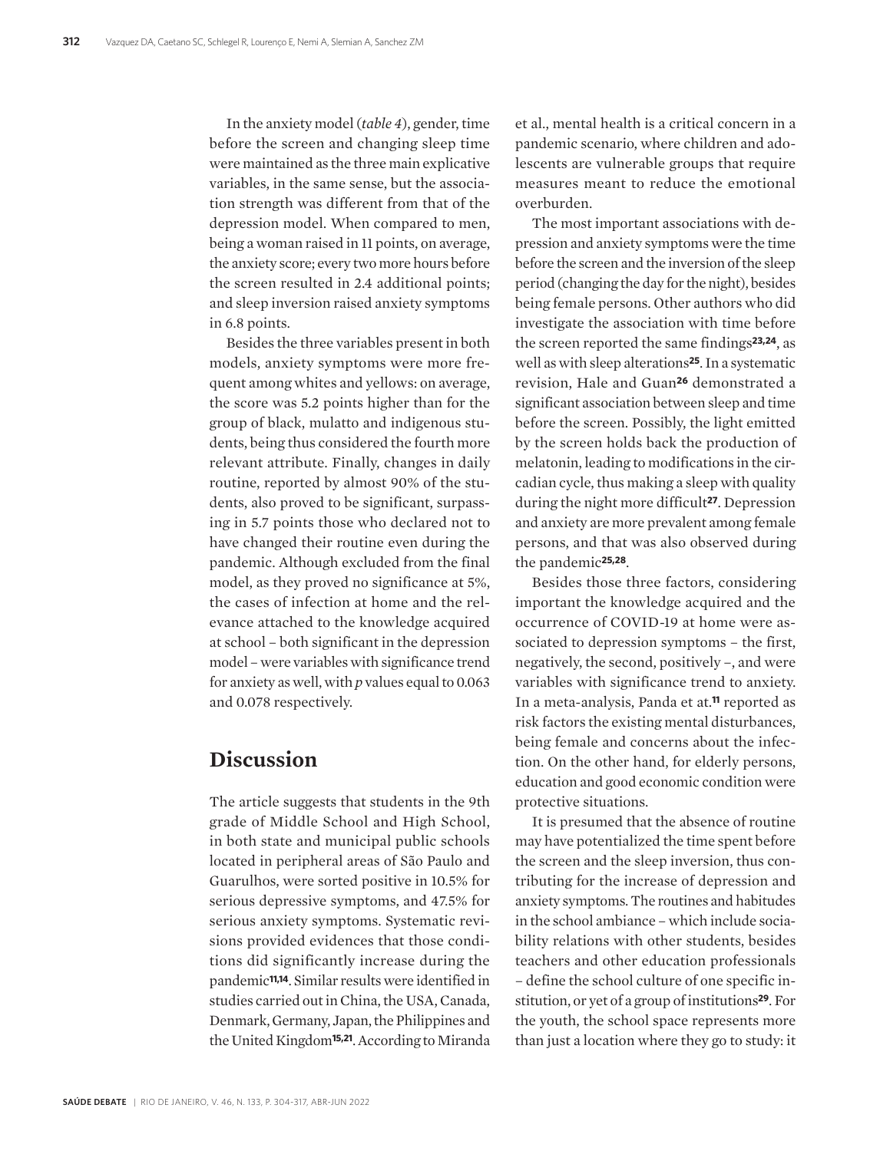In the anxiety model (*table 4*), gender, time before the screen and changing sleep time were maintained as the three main explicative variables, in the same sense, but the association strength was different from that of the depression model. When compared to men, being a woman raised in 11 points, on average, the anxiety score; every two more hours before the screen resulted in 2.4 additional points; and sleep inversion raised anxiety symptoms in 6.8 points.

Besides the three variables present in both models, anxiety symptoms were more frequent among whites and yellows: on average, the score was 5.2 points higher than for the group of black, mulatto and indigenous students, being thus considered the fourth more relevant attribute. Finally, changes in daily routine, reported by almost 90% of the students, also proved to be significant, surpassing in 5.7 points those who declared not to have changed their routine even during the pandemic. Although excluded from the final model, as they proved no significance at 5%, the cases of infection at home and the relevance attached to the knowledge acquired at school – both significant in the depression model – were variables with significance trend for anxiety as well, with *p* values equal to 0.063 and 0.078 respectively.

# **Discussion**

The article suggests that students in the 9th grade of Middle School and High School, in both state and municipal public schools located in peripheral areas of São Paulo and Guarulhos, were sorted positive in 10.5% for serious depressive symptoms, and 47.5% for serious anxiety symptoms. Systematic revisions provided evidences that those conditions did significantly increase during the pandemic**11,14**. Similar results were identified in studies carried out in China, the USA, Canada, Denmark, Germany, Japan, the Philippines and the United Kingdom**15,21**. According to Miranda

et al., mental health is a critical concern in a pandemic scenario, where children and adolescents are vulnerable groups that require measures meant to reduce the emotional overburden.

The most important associations with depression and anxiety symptoms were the time before the screen and the inversion of the sleep period (changing the day for the night), besides being female persons. Other authors who did investigate the association with time before the screen reported the same findings**23,24**, as well as with sleep alterations**25**. In a systematic revision, Hale and Guan**26** demonstrated a significant association between sleep and time before the screen. Possibly, the light emitted by the screen holds back the production of melatonin, leading to modifications in the circadian cycle, thus making a sleep with quality during the night more difficult**27**. Depression and anxiety are more prevalent among female persons, and that was also observed during the pandemic**25,28**.

Besides those three factors, considering important the knowledge acquired and the occurrence of COVID-19 at home were associated to depression symptoms – the first, negatively, the second, positively –, and were variables with significance trend to anxiety. In a meta-analysis, Panda et at.**11** reported as risk factors the existing mental disturbances, being female and concerns about the infection. On the other hand, for elderly persons, education and good economic condition were protective situations.

It is presumed that the absence of routine may have potentialized the time spent before the screen and the sleep inversion, thus contributing for the increase of depression and anxiety symptoms. The routines and habitudes in the school ambiance – which include sociability relations with other students, besides teachers and other education professionals – define the school culture of one specific institution, or yet of a group of institutions**29**. For the youth, the school space represents more than just a location where they go to study: it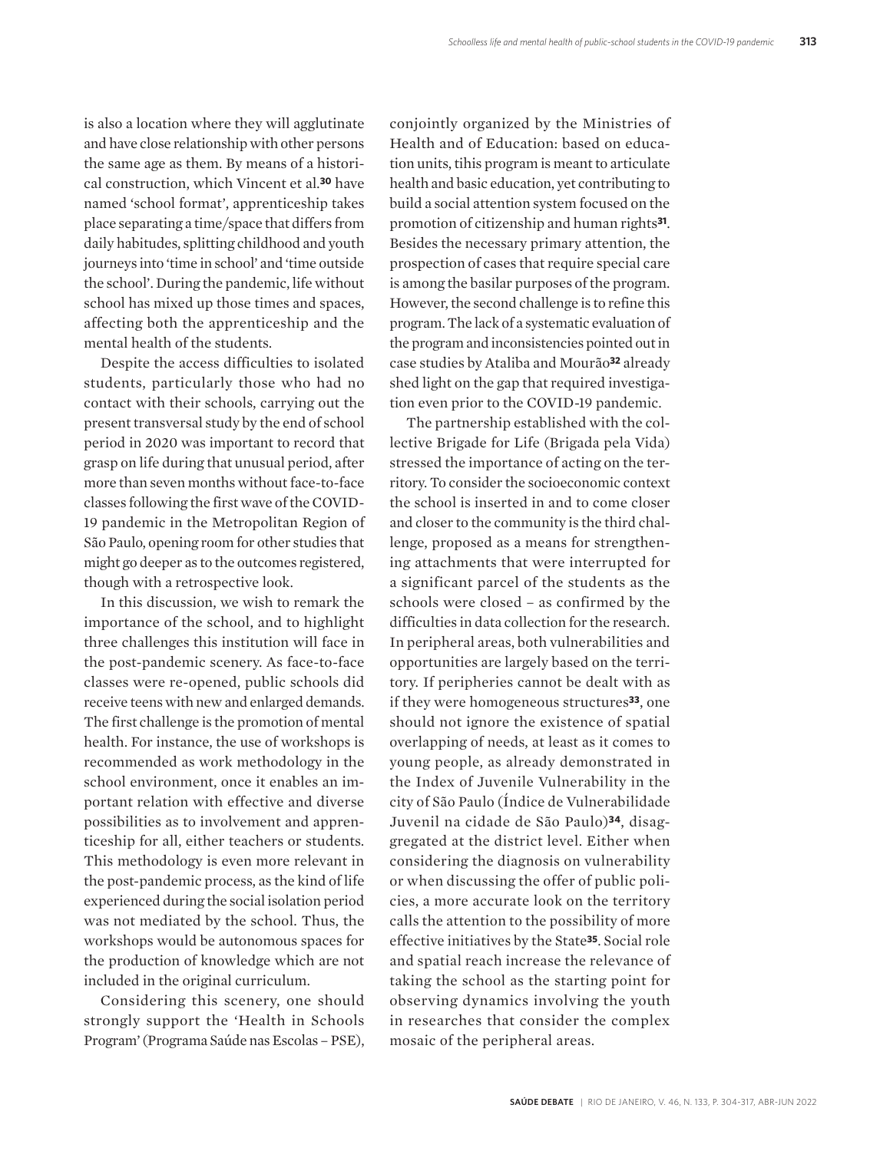is also a location where they will agglutinate and have close relationship with other persons the same age as them. By means of a historical construction, which Vincent et al*.* **<sup>30</sup>** have named 'school format', apprenticeship takes place separating a time/space that differs from daily habitudes, splitting childhood and youth journeys into 'time in school' and 'time outside the school'. During the pandemic, life without school has mixed up those times and spaces, affecting both the apprenticeship and the mental health of the students.

Despite the access difficulties to isolated students, particularly those who had no contact with their schools, carrying out the present transversal study by the end of school period in 2020 was important to record that grasp on life during that unusual period, after more than seven months without face-to-face classes following the first wave of the COVID-19 pandemic in the Metropolitan Region of São Paulo, opening room for other studies that might go deeper as to the outcomes registered, though with a retrospective look.

In this discussion, we wish to remark the importance of the school, and to highlight three challenges this institution will face in the post-pandemic scenery. As face-to-face classes were re-opened, public schools did receive teens with new and enlarged demands. The first challenge is the promotion of mental health. For instance, the use of workshops is recommended as work methodology in the school environment, once it enables an important relation with effective and diverse possibilities as to involvement and apprenticeship for all, either teachers or students. This methodology is even more relevant in the post-pandemic process, as the kind of life experienced during the social isolation period was not mediated by the school. Thus, the workshops would be autonomous spaces for the production of knowledge which are not included in the original curriculum.

Considering this scenery, one should strongly support the 'Health in Schools Program' (Programa Saúde nas Escolas – PSE),

conjointly organized by the Ministries of Health and of Education: based on education units, tihis program is meant to articulate health and basic education, yet contributing to build a social attention system focused on the promotion of citizenship and human rights**31**. Besides the necessary primary attention, the prospection of cases that require special care is among the basilar purposes of the program. However, the second challenge is to refine this program. The lack of a systematic evaluation of the program and inconsistencies pointed out in case studies by Ataliba and Mourão**32** already shed light on the gap that required investigation even prior to the COVID-19 pandemic.

The partnership established with the collective Brigade for Life (Brigada pela Vida) stressed the importance of acting on the territory. To consider the socioeconomic context the school is inserted in and to come closer and closer to the community is the third challenge, proposed as a means for strengthening attachments that were interrupted for a significant parcel of the students as the schools were closed – as confirmed by the difficulties in data collection for the research. In peripheral areas, both vulnerabilities and opportunities are largely based on the territory. If peripheries cannot be dealt with as if they were homogeneous structures**33**, one should not ignore the existence of spatial overlapping of needs, at least as it comes to young people, as already demonstrated in the Index of Juvenile Vulnerability in the city of São Paulo (Índice de Vulnerabilidade Juvenil na cidade de São Paulo)**34**, disaggregated at the district level. Either when considering the diagnosis on vulnerability or when discussing the offer of public policies, a more accurate look on the territory calls the attention to the possibility of more effective initiatives by the State**35**. Social role and spatial reach increase the relevance of taking the school as the starting point for observing dynamics involving the youth in researches that consider the complex mosaic of the peripheral areas.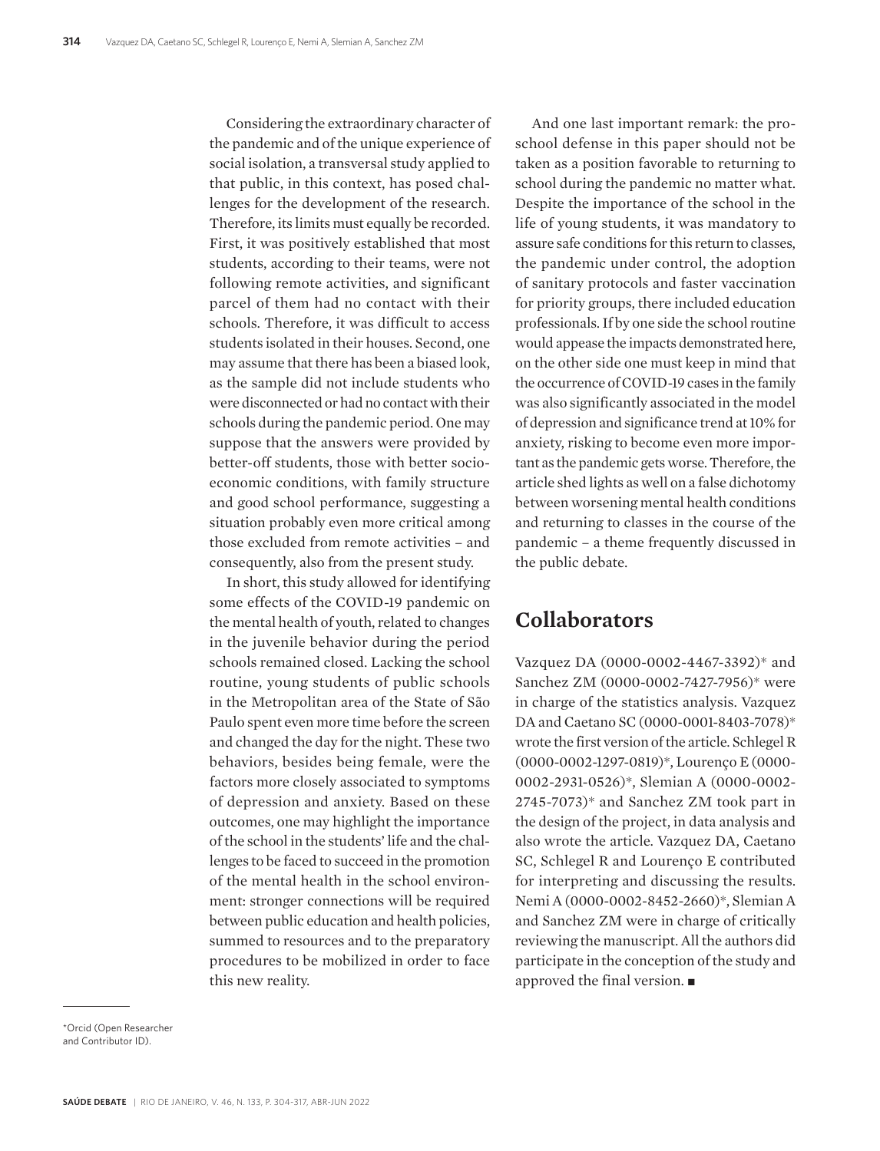Considering the extraordinary character of the pandemic and of the unique experience of social isolation, a transversal study applied to that public, in this context, has posed challenges for the development of the research. Therefore, its limits must equally be recorded. First, it was positively established that most students, according to their teams, were not following remote activities, and significant parcel of them had no contact with their schools. Therefore, it was difficult to access students isolated in their houses. Second, one may assume that there has been a biased look, as the sample did not include students who were disconnected or had no contact with their schools during the pandemic period. One may suppose that the answers were provided by better-off students, those with better socioeconomic conditions, with family structure and good school performance, suggesting a situation probably even more critical among those excluded from remote activities – and consequently, also from the present study.

In short, this study allowed for identifying some effects of the COVID-19 pandemic on the mental health of youth, related to changes in the juvenile behavior during the period schools remained closed. Lacking the school routine, young students of public schools in the Metropolitan area of the State of São Paulo spent even more time before the screen and changed the day for the night. These two behaviors, besides being female, were the factors more closely associated to symptoms of depression and anxiety. Based on these outcomes, one may highlight the importance of the school in the students' life and the challenges to be faced to succeed in the promotion of the mental health in the school environment: stronger connections will be required between public education and health policies, summed to resources and to the preparatory procedures to be mobilized in order to face this new reality.

And one last important remark: the proschool defense in this paper should not be taken as a position favorable to returning to school during the pandemic no matter what. Despite the importance of the school in the life of young students, it was mandatory to assure safe conditions for this return to classes, the pandemic under control, the adoption of sanitary protocols and faster vaccination for priority groups, there included education professionals. If by one side the school routine would appease the impacts demonstrated here, on the other side one must keep in mind that the occurrence of COVID-19 cases in the family was also significantly associated in the model of depression and significance trend at 10% for anxiety, risking to become even more important as the pandemic gets worse. Therefore, the article shed lights as well on a false dichotomy between worsening mental health conditions and returning to classes in the course of the pandemic – a theme frequently discussed in the public debate.

# **Collaborators**

Vazquez DA (0000-0002-4467-3392)\* and Sanchez ZM (0000-0002-7427-7956)\* were in charge of the statistics analysis. Vazquez DA and Caetano SC (0000-0001-8403-7078)\* wrote the first version of the article. Schlegel R (0000-0002-1297-0819)\*, Lourenço E (0000- 0002-2931-0526)\*, Slemian A (0000-0002- 2745-7073)\* and Sanchez ZM took part in the design of the project, in data analysis and also wrote the article. Vazquez DA, Caetano SC, Schlegel R and Lourenço E contributed for interpreting and discussing the results. Nemi A (0000-0002-8452-2660)\*, Slemian A and Sanchez ZM were in charge of critically reviewing the manuscript. All the authors did participate in the conception of the study and approved the final version.  $\blacksquare$ 

\*Orcid (Open Researcher and Contributor ID).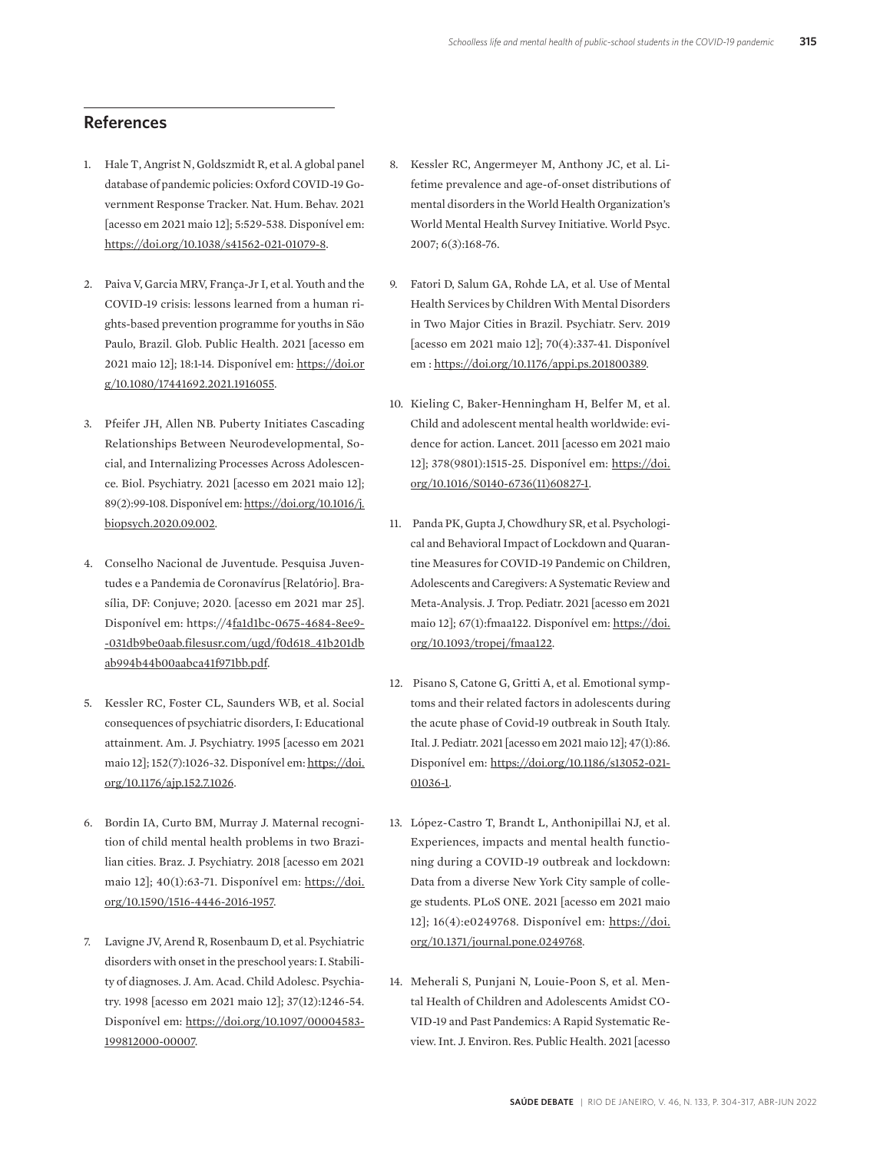#### **References**

- 1. Hale T, Angrist N, Goldszmidt R, et al. A global panel database of pandemic policies: Oxford COVID-19 Government Response Tracker. Nat. Hum. Behav. 2021 [acesso em 2021 maio 12]; 5:529-538. Disponível em: https://doi.org/10.1038/s41562-021-01079-8.
- 2. Paiva V, Garcia MRV, França-Jr I, et al. Youth and the COVID-19 crisis: lessons learned from a human rights-based prevention programme for youths in São Paulo, Brazil. Glob. Public Health. 2021 [acesso em 2021 maio 12]; 18:1-14. Disponível em: https://doi.or g/10.1080/17441692.2021.1916055.
- 3. Pfeifer JH, Allen NB. Puberty Initiates Cascading Relationships Between Neurodevelopmental, Social, and Internalizing Processes Across Adolescence. Biol. Psychiatry. 2021 [acesso em 2021 maio 12]; 89(2):99-108. Disponível em: https://doi.org/10.1016/j. biopsych.2020.09.002.
- 4. Conselho Nacional de Juventude. Pesquisa Juventudes e a Pandemia de Coronavírus [Relatório]. Brasília, DF: Conjuve; 2020. [acesso em 2021 mar 25]. Disponível em: https://4fa1d1bc-0675-4684-8ee9- -031db9be0aab.filesusr.com/ugd/f0d618\_41b201db ab994b44b00aabca41f971bb.pdf.
- 5. Kessler RC, Foster CL, Saunders WB, et al. Social consequences of psychiatric disorders, I: Educational attainment. Am. J. Psychiatry. 1995 [acesso em 2021 maio 12]; 152(7):1026-32. Disponível em: https://doi. org/10.1176/ajp.152.7.1026.
- 6. Bordin IA, Curto BM, Murray J. Maternal recognition of child mental health problems in two Brazilian cities. Braz. J. Psychiatry. 2018 [acesso em 2021 maio 12]; 40(1):63-71. Disponível em: https://doi. org/10.1590/1516-4446-2016-1957.
- 7. Lavigne JV, Arend R, Rosenbaum D, et al. Psychiatric disorders with onset in the preschool years: I. Stability of diagnoses. J. Am. Acad. Child Adolesc. Psychiatry. 1998 [acesso em 2021 maio 12]; 37(12):1246-54. Disponível em: https://doi.org/10.1097/00004583- 199812000-00007.
- 8. Kessler RC, Angermeyer M, Anthony JC, et al. Lifetime prevalence and age-of-onset distributions of mental disorders in the World Health Organization's World Mental Health Survey Initiative. World Psyc. 2007; 6(3):168-76.
- 9. Fatori D, Salum GA, Rohde LA, et al. Use of Mental Health Services by Children With Mental Disorders in Two Major Cities in Brazil. Psychiatr. Serv. 2019 [acesso em 2021 maio 12]; 70(4):337-41. Disponível em : https://doi.org/10.1176/appi.ps.201800389.
- 10. Kieling C, Baker-Henningham H, Belfer M, et al. Child and adolescent mental health worldwide: evidence for action. Lancet. 2011 [acesso em 2021 maio 12]; 378(9801):1515-25. Disponível em: https://doi. org/10.1016/S0140-6736(11)60827-1.
- 11. Panda PK, Gupta J, Chowdhury SR, et al. Psychological and Behavioral Impact of Lockdown and Quarantine Measures for COVID-19 Pandemic on Children, Adolescents and Caregivers: A Systematic Review and Meta-Analysis. J. Trop. Pediatr. 2021 [acesso em 2021 maio 12]; 67(1):fmaa122. Disponível em: https://doi. org/10.1093/tropej/fmaa122.
- 12. Pisano S, Catone G, Gritti A, et al. Emotional symptoms and their related factors in adolescents during the acute phase of Covid-19 outbreak in South Italy. Ital. J. Pediatr. 2021 [acesso em 2021 maio 12]; 47(1):86. Disponível em: https://doi.org/10.1186/s13052-021- 01036-1.
- 13. López-Castro T, Brandt L, Anthonipillai NJ, et al. Experiences, impacts and mental health functioning during a COVID-19 outbreak and lockdown: Data from a diverse New York City sample of college students. PLoS ONE. 2021 [acesso em 2021 maio 12]; 16(4):e0249768. Disponível em: https://doi. org/10.1371/journal.pone.0249768.
- 14. Meherali S, Punjani N, Louie-Poon S, et al. Mental Health of Children and Adolescents Amidst CO-VID-19 and Past Pandemics: A Rapid Systematic Review. Int. J. Environ. Res. Public Health. 2021 [acesso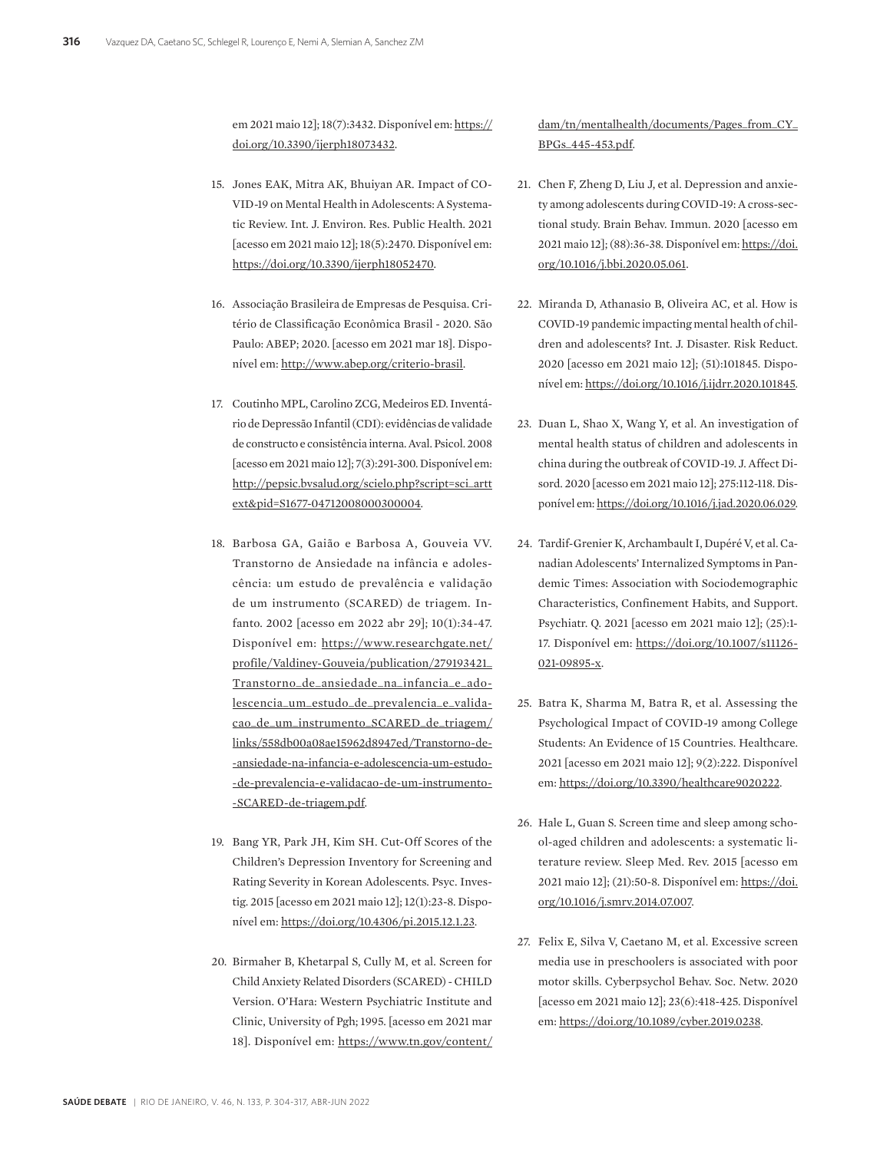em 2021 maio 12]; 18(7):3432. Disponível em: https:// doi.org/10.3390/ijerph18073432.

- 15. Jones EAK, Mitra AK, Bhuiyan AR. Impact of CO-VID-19 on Mental Health in Adolescents: A Systematic Review. Int. J. Environ. Res. Public Health. 2021 [acesso em 2021 maio 12]; 18(5):2470. Disponível em: https://doi.org/10.3390/ijerph18052470.
- 16. Associação Brasileira de Empresas de Pesquisa. Critério de Classificação Econômica Brasil - 2020. São Paulo: ABEP; 2020. [acesso em 2021 mar 18]. Disponível em: http://www.abep.org/criterio-brasil.
- 17. Coutinho MPL, Carolino ZCG, Medeiros ED. Inventário de Depressão Infantil (CDI): evidências de validade de constructo e consistência interna. Aval. Psicol. 2008 [acesso em 2021 maio 12]; 7(3):291-300. Disponível em: http://pepsic.bvsalud.org/scielo.php?script=sci\_artt ext&pid=S1677-04712008000300004.
- 18. Barbosa GA, Gaião e Barbosa A, Gouveia VV. Transtorno de Ansiedade na infância e adolescência: um estudo de prevalência e validação de um instrumento (SCARED) de triagem. Infanto. 2002 [acesso em 2022 abr 29]; 10(1):34-47. Disponível em: https://www.researchgate.net/ profile/Valdiney-Gouveia/publication/279193421\_ Transtorno\_de\_ansiedade\_na\_infancia\_e\_adolescencia\_um\_estudo\_de\_prevalencia\_e\_validacao\_de\_um\_instrumento\_SCARED\_de\_triagem/ links/558db00a08ae15962d8947ed/Transtorno-de- -ansiedade-na-infancia-e-adolescencia-um-estudo- -de-prevalencia-e-validacao-de-um-instrumento- -SCARED-de-triagem.pdf.
- 19. Bang YR, Park JH, Kim SH. Cut-Off Scores of the Children's Depression Inventory for Screening and Rating Severity in Korean Adolescents. Psyc. Investig. 2015 [acesso em 2021 maio 12]; 12(1):23-8. Disponível em: https://doi.org/10.4306/pi.2015.12.1.23.
- 20. Birmaher B, Khetarpal S, Cully M, et al. Screen for Child Anxiety Related Disorders (SCARED) - CHILD Version. O'Hara: Western Psychiatric Institute and Clinic, University of Pgh; 1995. [acesso em 2021 mar 18]. Disponível em: https://www.tn.gov/content/

dam/tn/mentalhealth/documents/Pages\_from\_CY\_ BPGs\_445-453.pdf.

- 21. Chen F, Zheng D, Liu J, et al. Depression and anxiety among adolescents during COVID-19: A cross-sectional study. Brain Behav. Immun. 2020 [acesso em 2021 maio 12]; (88):36-38. Disponível em: https://doi. org/10.1016/j.bbi.2020.05.061.
- 22. Miranda D, Athanasio B, Oliveira AC, et al. How is COVID-19 pandemic impacting mental health of children and adolescents? Int. J. Disaster. Risk Reduct. 2020 [acesso em 2021 maio 12]; (51):101845. Disponível em: https://doi.org/10.1016/j.ijdrr.2020.101845.
- 23. Duan L, Shao X, Wang Y, et al. An investigation of mental health status of children and adolescents in china during the outbreak of COVID-19. J. Affect Disord. 2020 [acesso em 2021 maio 12]; 275:112-118. Disponível em: https://doi.org/10.1016/j.jad.2020.06.029.
- 24. Tardif-Grenier K, Archambault I, Dupéré V, et al. Canadian Adolescents' Internalized Symptoms in Pandemic Times: Association with Sociodemographic Characteristics, Confinement Habits, and Support. Psychiatr. Q. 2021 [acesso em 2021 maio 12]; (25):1- 17. Disponível em: https://doi.org/10.1007/s11126- 021-09895-x.
- 25. Batra K, Sharma M, Batra R, et al. Assessing the Psychological Impact of COVID-19 among College Students: An Evidence of 15 Countries. Healthcare. 2021 [acesso em 2021 maio 12]; 9(2):222. Disponível em: https://doi.org/10.3390/healthcare9020222.
- 26. Hale L, Guan S. Screen time and sleep among school-aged children and adolescents: a systematic literature review. Sleep Med. Rev. 2015 [acesso em 2021 maio 12]; (21):50-8. Disponível em: https://doi. org/10.1016/j.smrv.2014.07.007.
- 27. Felix E, Silva V, Caetano M, et al. Excessive screen media use in preschoolers is associated with poor motor skills. Cyberpsychol Behav. Soc. Netw. 2020 [acesso em 2021 maio 12]; 23(6):418-425. Disponível em: https://doi.org/10.1089/cyber.2019.0238.